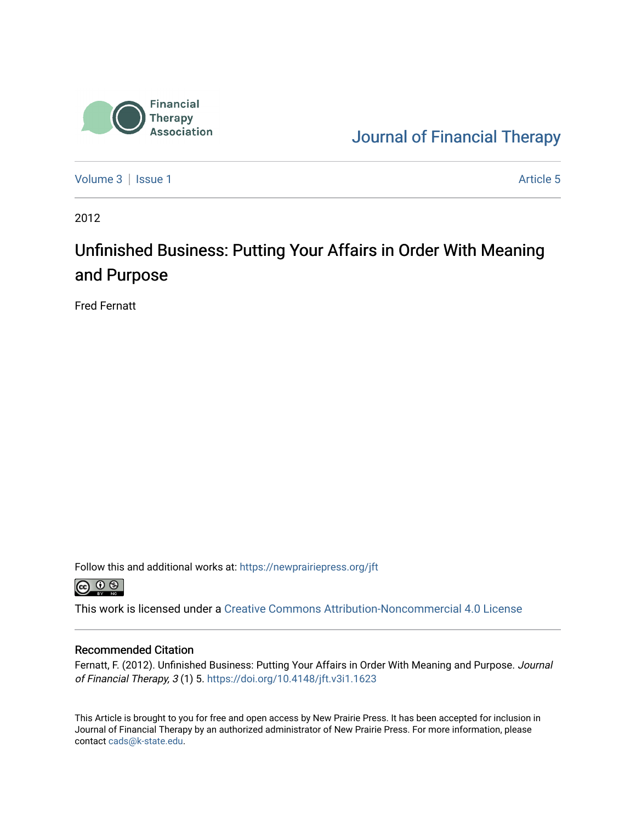

[Journal of Financial Therapy](https://newprairiepress.org/jft) 

[Volume 3](https://newprairiepress.org/jft/vol3) | [Issue 1](https://newprairiepress.org/jft/vol3/iss1) Article 5

2012

## Unfinished Business: Putting Your Affairs in Order With Meaning and Purpose

Fred Fernatt

Follow this and additional works at: [https://newprairiepress.org/jft](https://newprairiepress.org/jft?utm_source=newprairiepress.org%2Fjft%2Fvol3%2Fiss1%2F5&utm_medium=PDF&utm_campaign=PDFCoverPages)



This work is licensed under a [Creative Commons Attribution-Noncommercial 4.0 License](https://creativecommons.org/licenses/by-nc/4.0/)

## Recommended Citation

Fernatt, F. (2012). Unfinished Business: Putting Your Affairs in Order With Meaning and Purpose. Journal of Financial Therapy, 3 (1) 5.<https://doi.org/10.4148/jft.v3i1.1623>

This Article is brought to you for free and open access by New Prairie Press. It has been accepted for inclusion in Journal of Financial Therapy by an authorized administrator of New Prairie Press. For more information, please contact [cads@k-state.edu](mailto:cads@k-state.edu).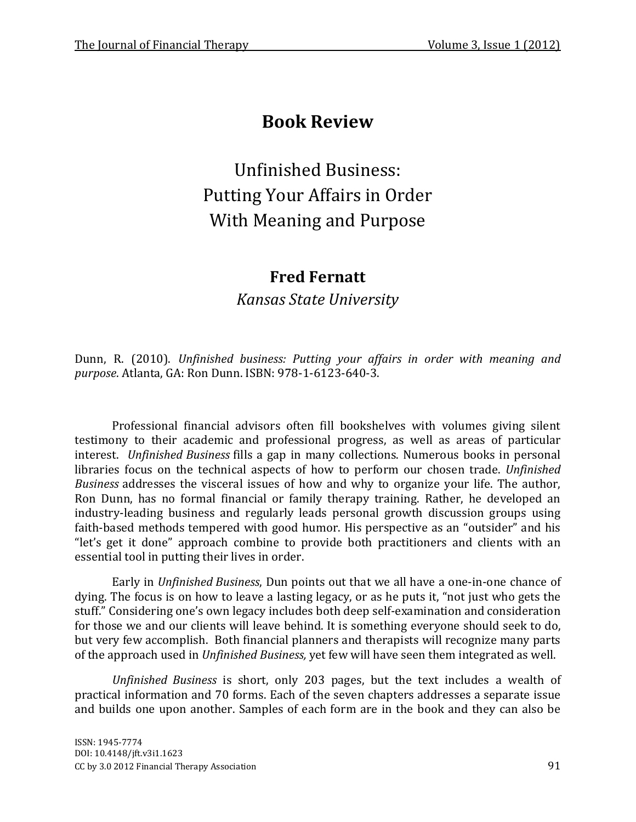## **Book Review**

Unfinished Business: Putting Your Affairs in Order With Meaning and Purpose

## **Fred Fernatt**

*Kansas State University*

Dunn, R. (2010). *Unfinished business: Putting your affairs in order with meaning and purpose*. Atlanta, GA: Ron Dunn. ISBN: 978-1-6123-640-3.

Professional financial advisors often fill bookshelves with volumes giving silent testimony to their academic and professional progress, as well as areas of particular interest. *Unfinished Business* fills a gap in many collections. Numerous books in personal libraries focus on the technical aspects of how to perform our chosen trade. *Unfinished Business* addresses the visceral issues of how and why to organize your life. The author, Ron Dunn, has no formal financial or family therapy training. Rather, he developed an industry-leading business and regularly leads personal growth discussion groups using faith-based methods tempered with good humor. His perspective as an "outsider" and his "let's get it done" approach combine to provide both practitioners and clients with an essential tool in putting their lives in order.

Early in *Unfinished Business*, Dun points out that we all have a one-in-one chance of dying. The focus is on how to leave a lasting legacy, or as he puts it, "not just who gets the stuff." Considering one's own legacy includes both deep self-examination and consideration for those we and our clients will leave behind. It is something everyone should seek to do, but very few accomplish. Both financial planners and therapists will recognize many parts of the approach used in *Unfinished Business,* yet few will have seen them integrated as well.

*Unfinished Business* is short, only 203 pages, but the text includes a wealth of practical information and 70 forms. Each of the seven chapters addresses a separate issue and builds one upon another. Samples of each form are in the book and they can also be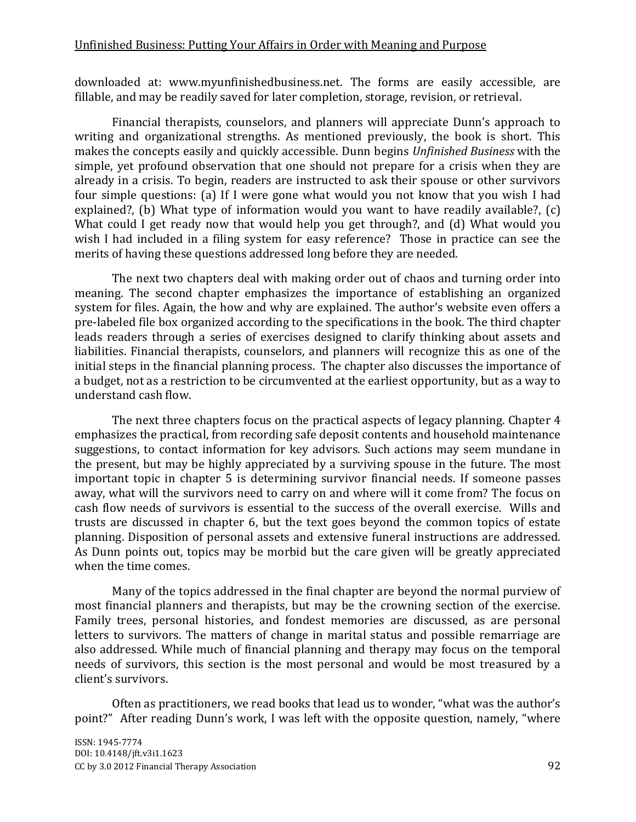downloaded at: [www.myunfinishedbusiness.net.](http://www.myunfinishedbusiness.net/) The forms are easily accessible, are fillable, and may be readily saved for later completion, storage, revision, or retrieval.

Financial therapists, counselors, and planners will appreciate Dunn's approach to writing and organizational strengths. As mentioned previously, the book is short. This makes the concepts easily and quickly accessible. Dunn begins *Unfinished Business* with the simple, yet profound observation that one should not prepare for a crisis when they are already in a crisis. To begin, readers are instructed to ask their spouse or other survivors four simple questions: (a) If I were gone what would you not know that you wish I had explained?, (b) What type of information would you want to have readily available?, (c) What could I get ready now that would help you get through?, and (d) What would you wish I had included in a filing system for easy reference? Those in practice can see the merits of having these questions addressed long before they are needed.

The next two chapters deal with making order out of chaos and turning order into meaning. The second chapter emphasizes the importance of establishing an organized system for files. Again, the how and why are explained. The author's website even offers a pre-labeled file box organized according to the specifications in the book. The third chapter leads readers through a series of exercises designed to clarify thinking about assets and liabilities. Financial therapists, counselors, and planners will recognize this as one of the initial steps in the financial planning process. The chapter also discusses the importance of a budget, not as a restriction to be circumvented at the earliest opportunity, but as a way to understand cash flow.

The next three chapters focus on the practical aspects of legacy planning. Chapter 4 emphasizes the practical, from recording safe deposit contents and household maintenance suggestions, to contact information for key advisors. Such actions may seem mundane in the present, but may be highly appreciated by a surviving spouse in the future. The most important topic in chapter 5 is determining survivor financial needs. If someone passes away, what will the survivors need to carry on and where will it come from? The focus on cash flow needs of survivors is essential to the success of the overall exercise. Wills and trusts are discussed in chapter 6, but the text goes beyond the common topics of estate planning. Disposition of personal assets and extensive funeral instructions are addressed. As Dunn points out, topics may be morbid but the care given will be greatly appreciated when the time comes.

Many of the topics addressed in the final chapter are beyond the normal purview of most financial planners and therapists, but may be the crowning section of the exercise. Family trees, personal histories, and fondest memories are discussed, as are personal letters to survivors. The matters of change in marital status and possible remarriage are also addressed. While much of financial planning and therapy may focus on the temporal needs of survivors, this section is the most personal and would be most treasured by a client's survivors.

Often as practitioners, we read books that lead us to wonder, "what was the author's point?" After reading Dunn's work, I was left with the opposite question, namely, "where